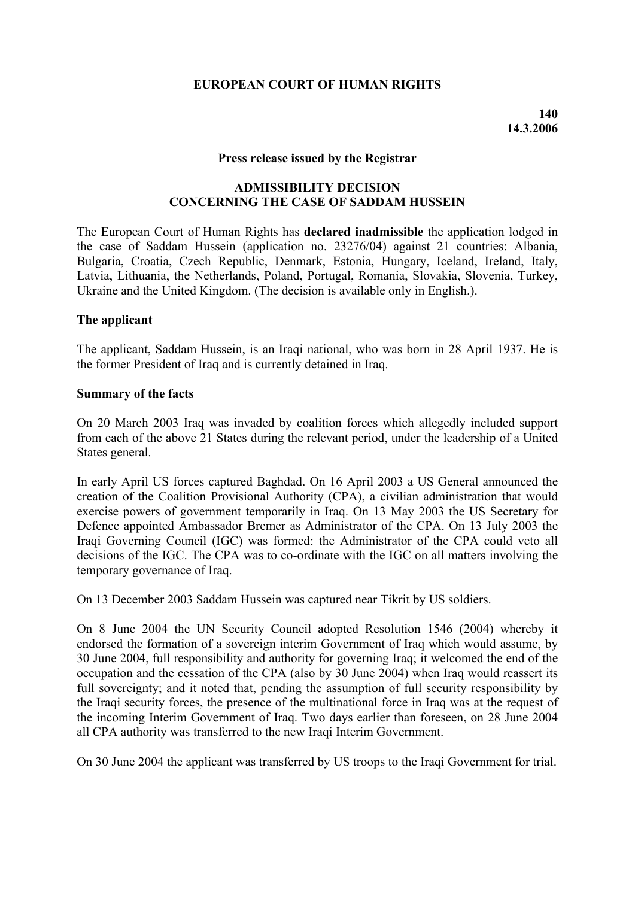# **EUROPEAN COURT OF HUMAN RIGHTS**

#### **Press release issued by the Registrar**

## **ADMISSIBILITY DECISION CONCERNING THE CASE OF SADDAM HUSSEIN**

The European Court of Human Rights has **declared inadmissible** the application lodged in the case of Saddam Hussein (application no. 23276/04) against 21 countries: Albania, Bulgaria, Croatia, Czech Republic, Denmark, Estonia, Hungary, Iceland, Ireland, Italy, Latvia, Lithuania, the Netherlands, Poland, Portugal, Romania, Slovakia, Slovenia, Turkey, Ukraine and the United Kingdom. (The decision is available only in English.).

#### **The applicant**

The applicant, Saddam Hussein, is an Iraqi national, who was born in 28 April 1937. He is the former President of Iraq and is currently detained in Iraq.

#### **Summary of the facts**

On 20 March 2003 Iraq was invaded by coalition forces which allegedly included support from each of the above 21 States during the relevant period, under the leadership of a United States general.

In early April US forces captured Baghdad. On 16 April 2003 a US General announced the creation of the Coalition Provisional Authority (CPA), a civilian administration that would exercise powers of government temporarily in Iraq. On 13 May 2003 the US Secretary for Defence appointed Ambassador Bremer as Administrator of the CPA. On 13 July 2003 the Iraqi Governing Council (IGC) was formed: the Administrator of the CPA could veto all decisions of the IGC. The CPA was to co-ordinate with the IGC on all matters involving the temporary governance of Iraq.

On 13 December 2003 Saddam Hussein was captured near Tikrit by US soldiers.

On 8 June 2004 the UN Security Council adopted Resolution 1546 (2004) whereby it endorsed the formation of a sovereign interim Government of Iraq which would assume, by 30 June 2004, full responsibility and authority for governing Iraq; it welcomed the end of the occupation and the cessation of the CPA (also by 30 June 2004) when Iraq would reassert its full sovereignty; and it noted that, pending the assumption of full security responsibility by the Iraqi security forces, the presence of the multinational force in Iraq was at the request of the incoming Interim Government of Iraq. Two days earlier than foreseen, on 28 June 2004 all CPA authority was transferred to the new Iraqi Interim Government.

On 30 June 2004 the applicant was transferred by US troops to the Iraqi Government for trial.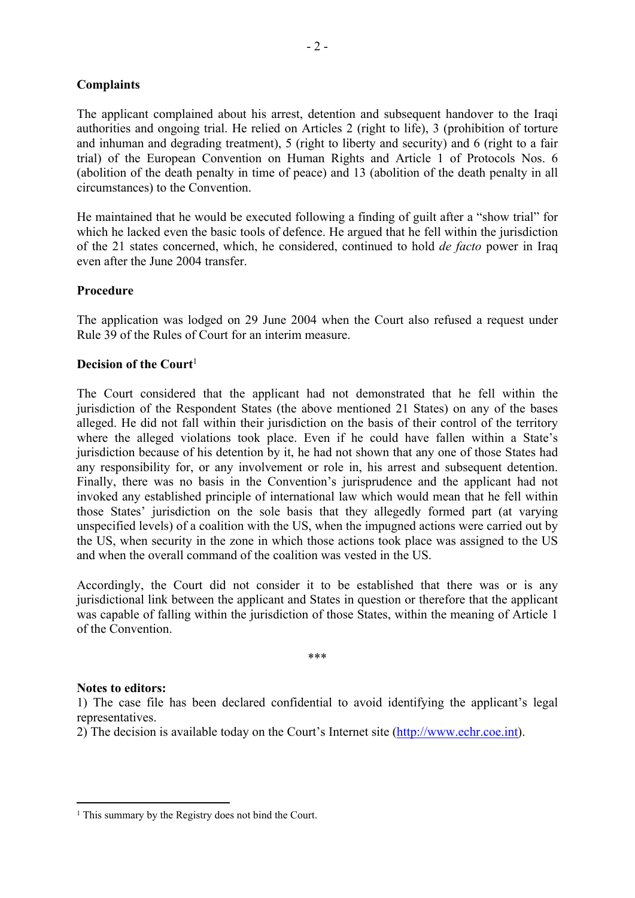# **Complaints**

The applicant complained about his arrest, detention and subsequent handover to the Iraqi authorities and ongoing trial. He relied on Articles 2 (right to life), 3 (prohibition of torture and inhuman and degrading treatment), 5 (right to liberty and security) and 6 (right to a fair trial) of the European Convention on Human Rights and Article 1 of Protocols Nos. 6 (abolition of the death penalty in time of peace) and 13 (abolition of the death penalty in all circumstances) to the Convention.

He maintained that he would be executed following a finding of guilt after a "show trial" for which he lacked even the basic tools of defence. He argued that he fell within the jurisdiction of the 21 states concerned, which, he considered, continued to hold *de facto* power in Iraq even after the June 2004 transfer.

## **Procedure**

The application was lodged on 29 June 2004 when the Court also refused a request under Rule 39 of the Rules of Court for an interim measure.

## **Decision of the Court**<sup>1</sup>

The Court considered that the applicant had not demonstrated that he fell within the jurisdiction of the Respondent States (the above mentioned 21 States) on any of the bases alleged. He did not fall within their jurisdiction on the basis of their control of the territory where the alleged violations took place. Even if he could have fallen within a State's jurisdiction because of his detention by it, he had not shown that any one of those States had any responsibility for, or any involvement or role in, his arrest and subsequent detention. Finally, there was no basis in the Convention's jurisprudence and the applicant had not invoked any established principle of international law which would mean that he fell within those States' jurisdiction on the sole basis that they allegedly formed part (at varying unspecified levels) of a coalition with the US, when the impugned actions were carried out by the US, when security in the zone in which those actions took place was assigned to the US and when the overall command of the coalition was vested in the US.

Accordingly, the Court did not consider it to be established that there was or is any jurisdictional link between the applicant and States in question or therefore that the applicant was capable of falling within the jurisdiction of those States, within the meaning of Article 1 of the Convention.

\*\*\*

## **Notes to editors:**

1) The case file has been declared confidential to avoid identifying the applicant's legal representatives.

2) The decision is available today on the Court's Internet site [\(http://www.echr.coe.int\)](http://www.echr.coe.int/).

<sup>&</sup>lt;sup>1</sup> This summary by the Registry does not bind the Court.